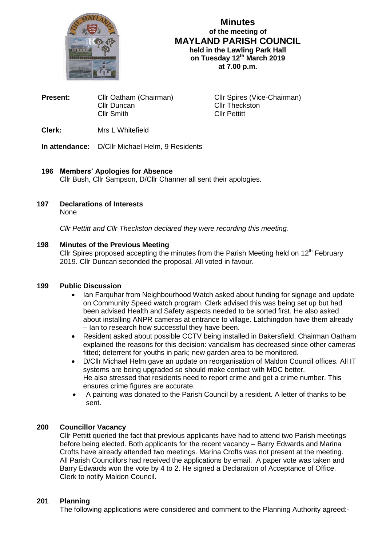

**Minutes of the meeting of MAYLAND PARISH COUNCIL held in the Lawling Park Hall on Tuesday 12th March 2019 at 7.00 p.m.**

| <b>Present:</b> | Cllr Oatham (Chairman) | Cllr Spires (Vice-Chairman) |  |
|-----------------|------------------------|-----------------------------|--|
|                 | Cllr Duncan            | <b>Cllr Theckston</b>       |  |
|                 | Cllr Smith             | <b>Cllr Pettitt</b>         |  |
|                 |                        |                             |  |

**Clerk:** Mrs L Whitefield

**In attendance:** D/Cllr Michael Helm, 9 Residents

## **196 Members' Apologies for Absence**

Cllr Bush, Cllr Sampson, D/Cllr Channer all sent their apologies.

**197 Declarations of Interests**

None

*Cllr Pettitt and Cllr Theckston declared they were recording this meeting.*

## **198 Minutes of the Previous Meeting**

Cllr Spires proposed accepting the minutes from the Parish Meeting held on  $12<sup>th</sup>$  February 2019. Cllr Duncan seconded the proposal. All voted in favour.

# **199 Public Discussion**

- Ian Farquhar from Neighbourhood Watch asked about funding for signage and update on Community Speed watch program. Clerk advised this was being set up but had been advised Health and Safety aspects needed to be sorted first. He also asked about installing ANPR cameras at entrance to village. Latchingdon have them already – Ian to research how successful they have been.
- Resident asked about possible CCTV being installed in Bakersfield. Chairman Oatham explained the reasons for this decision: vandalism has decreased since other cameras fitted; deterrent for youths in park; new garden area to be monitored.
- D/Cllr Michael Helm gave an update on reorganisation of Maldon Council offices. All IT systems are being upgraded so should make contact with MDC better. He also stressed that residents need to report crime and get a crime number. This ensures crime figures are accurate.
- A painting was donated to the Parish Council by a resident. A letter of thanks to be sent.

# **200 Councillor Vacancy**

Cllr Pettitt queried the fact that previous applicants have had to attend two Parish meetings before being elected. Both applicants for the recent vacancy – Barry Edwards and Marina Crofts have already attended two meetings. Marina Crofts was not present at the meeting. All Parish Councillors had received the applications by email. A paper vote was taken and Barry Edwards won the vote by 4 to 2. He signed a Declaration of Acceptance of Office. Clerk to notify Maldon Council.

# **201 Planning**

The following applications were considered and comment to the Planning Authority agreed:-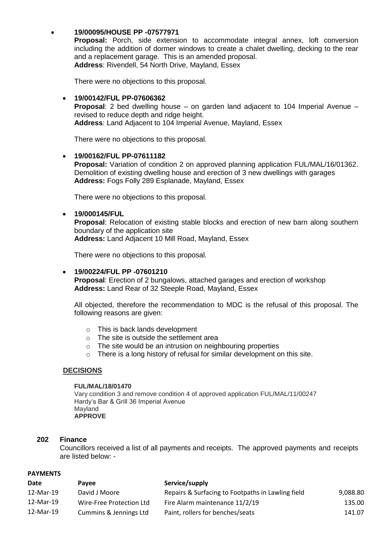## **19/00095/HOUSE PP -07577971**

 **Proposal:** Porch, side extension to accommodate integral annex, loft conversion including the addition of dormer windows to create a chalet dwelling, decking to the rear and a replacement garage. This is an amended proposal. **Address**: Rivendell, 54 North Drive, Mayland, Essex

There were no objections to this proposal.

### **19/00142/FUL PP-07606362**

**Proposal**: 2 bed dwelling house – on garden land adjacent to 104 Imperial Avenue – revised to reduce depth and ridge height.

**Address**: Land Adjacent to 104 Imperial Avenue, Mayland, Essex

There were no objections to this proposal.

### **19/00162/FUL PP-07611182**

**Proposal:** Variation of condition 2 on approved planning application FUL/MAL/16/01362. Demolition of existing dwelling house and erection of 3 new dwellings with garages **Address:** Fogs Folly 289 Esplanade, Mayland, Essex

There were no objections to this proposal.

### **19/000145/FUL**

**Proposal**: Relocation of existing stable blocks and erection of new barn along southern boundary of the application site **Address:** Land Adjacent 10 Mill Road, Mayland, Essex

There were no objections to this proposal.

#### **19/00224/FUL PP -07601210**

**Proposal**: Erection of 2 bungalows, attached garages and erection of workshop **Address:** Land Rear of 32 Steeple Road, Mayland, Essex

All objected, therefore the recommendation to MDC is the refusal of this proposal. The following reasons are given:

- o This is back lands development
- o The site is outside the settlement area
- o The site would be an intrusion on neighbouring properties
- o There is a long history of refusal for similar development on this site.

## **DECISIONS**

#### **FUL/MAL/18/01470**

Vary condition 3 and remove condition 4 of approved application FUL/MAL/11/00247 Hardy's Bar & Grill 36 Imperial Avenue Mayland **APPROVE**

#### **202 Finance**

Councillors received a list of all payments and receipts. The approved payments and receipts are listed below: -

#### **PAYMENTS**

| Date      | <b>Pavee</b>             | Service/supply                                    |          |
|-----------|--------------------------|---------------------------------------------------|----------|
| 12-Mar-19 | David J Moore            | Repairs & Surfacing to Footpaths in Lawling field | 9,088.80 |
| 12-Mar-19 | Wire-Free Protection Ltd | Fire Alarm maintenance 11/2/19                    | 135.00   |
| 12-Mar-19 | Cummins & Jennings Ltd   | Paint, rollers for benches/seats                  | 141.07   |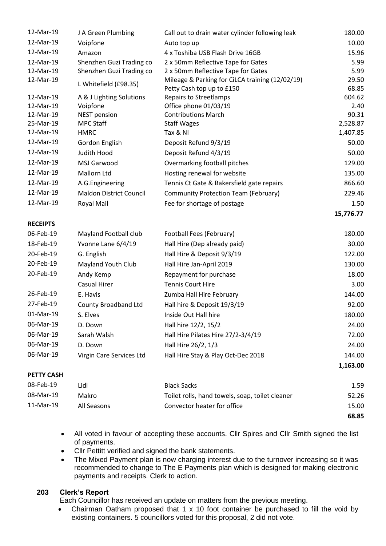| 12-Mar-19         | J A Green Plumbing             | Call out to drain water cylinder following leak                              | 180.00         |
|-------------------|--------------------------------|------------------------------------------------------------------------------|----------------|
| 12-Mar-19         | Voipfone                       | Auto top up                                                                  | 10.00          |
| 12-Mar-19         | Amazon                         | 4 x Toshiba USB Flash Drive 16GB                                             | 15.96          |
| 12-Mar-19         | Shenzhen Guzi Trading co       | 2 x 50mm Reflective Tape for Gates                                           | 5.99           |
| 12-Mar-19         | Shenzhen Guzi Trading co       | 2 x 50mm Reflective Tape for Gates                                           | 5.99           |
| 12-Mar-19         | L Whitefield (£98.35)          | Mileage & Parking for CiLCA training (12/02/19)<br>Petty Cash top up to £150 | 29.50<br>68.85 |
| 12-Mar-19         | A & J Lighting Solutions       | <b>Repairs to Streetlamps</b>                                                | 604.62         |
| 12-Mar-19         | Voipfone                       | Office phone 01/03/19                                                        | 2.40           |
| 12-Mar-19         | <b>NEST pension</b>            | <b>Contributions March</b>                                                   | 90.31          |
| 25-Mar-19         | <b>MPC Staff</b>               | <b>Staff Wages</b>                                                           | 2,528.87       |
| 12-Mar-19         | <b>HMRC</b>                    | Tax & NI                                                                     | 1,407.85       |
| 12-Mar-19         | Gordon English                 | Deposit Refund 9/3/19                                                        | 50.00          |
| 12-Mar-19         | Judith Hood                    | Deposit Refund 4/3/19                                                        | 50.00          |
| 12-Mar-19         | MSJ Garwood                    | Overmarking football pitches                                                 | 129.00         |
| 12-Mar-19         | Mallorn Ltd                    | Hosting renewal for website                                                  | 135.00         |
| 12-Mar-19         | A.G.Engineering                | Tennis Ct Gate & Bakersfield gate repairs                                    | 866.60         |
| 12-Mar-19         | <b>Maldon District Council</b> | Community Protection Team (February)                                         | 229.46         |
| 12-Mar-19         | Royal Mail                     | Fee for shortage of postage                                                  | 1.50           |
|                   |                                |                                                                              | 15,776.77      |
| <b>RECEIPTS</b>   |                                |                                                                              |                |
| 06-Feb-19         | Mayland Football club          | Football Fees (February)                                                     | 180.00         |
| 18-Feb-19         | Yvonne Lane 6/4/19             | Hall Hire (Dep already paid)                                                 | 30.00          |
| 20-Feb-19         | G. English                     | Hall Hire & Deposit 9/3/19                                                   | 122.00         |
| 20-Feb-19         | Mayland Youth Club             | Hall Hire Jan-April 2019                                                     | 130.00         |
| 20-Feb-19         | Andy Kemp                      | Repayment for purchase                                                       | 18.00          |
|                   | <b>Casual Hirer</b>            | <b>Tennis Court Hire</b>                                                     | 3.00           |
| 26-Feb-19         | E. Havis                       | Zumba Hall Hire February                                                     | 144.00         |
| 27-Feb-19         | <b>County Broadband Ltd</b>    | Hall hire & Deposit 19/3/19                                                  | 92.00          |
| 01-Mar-19         | S. Elves                       | Inside Out Hall hire                                                         | 180.00         |
| 06-Mar-19         | D. Down                        | Hall hire 12/2, 15/2                                                         | 24.00          |
| 06-Mar-19         | Sarah Walsh                    | Hall Hire Pilates Hire 27/2-3/4/19                                           | 72.00          |
| 06-Mar-19         | D. Down                        | Hall Hire 26/2, 1/3                                                          | 24.00          |
| 06-Mar-19         | Virgin Care Services Ltd       | Hall Hire Stay & Play Oct-Dec 2018                                           | 144.00         |
|                   |                                |                                                                              | 1,163.00       |
| <b>PETTY CASH</b> |                                |                                                                              |                |
| 08-Feb-19         | Lidl                           | <b>Black Sacks</b>                                                           | 1.59           |
| 08-Mar-19         | Makro                          | Toilet rolls, hand towels, soap, toilet cleaner                              | 52.26          |
| 11-Mar-19         | All Seasons                    | Convector heater for office                                                  | 15.00          |
|                   |                                |                                                                              | 68.85          |

- All voted in favour of accepting these accounts. Cllr Spires and Cllr Smith signed the list of payments.
- Cllr Pettitt verified and signed the bank statements.
- The Mixed Payment plan is now charging interest due to the turnover increasing so it was recommended to change to The E Payments plan which is designed for making electronic payments and receipts. Clerk to action.

# **203 Clerk's Report**

Each Councillor has received an update on matters from the previous meeting.

• Chairman Oatham proposed that 1 x 10 foot container be purchased to fill the void by existing containers. 5 councillors voted for this proposal, 2 did not vote.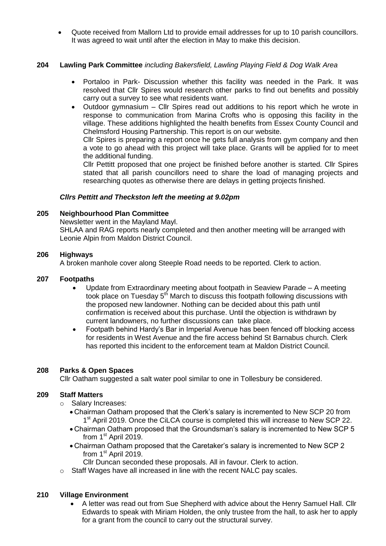Quote received from Mallorn Ltd to provide email addresses for up to 10 parish councillors. It was agreed to wait until after the election in May to make this decision.

# **204 Lawling Park Committee** *including Bakersfield, Lawling Playing Field & Dog Walk Area*

- Portaloo in Park- Discussion whether this facility was needed in the Park. It was resolved that Cllr Spires would research other parks to find out benefits and possibly carry out a survey to see what residents want.
- Outdoor gymnasium Cllr Spires read out additions to his report which he wrote in response to communication from Marina Crofts who is opposing this facility in the village. These additions highlighted the health benefits from Essex County Council and Chelmsford Housing Partnership. This report is on our website.

Cllr Spires is preparing a report once he gets full analysis from gym company and then a vote to go ahead with this project will take place. Grants will be applied for to meet the additional funding.

Cllr Pettitt proposed that one project be finished before another is started. Cllr Spires stated that all parish councillors need to share the load of managing projects and researching quotes as otherwise there are delays in getting projects finished.

## *Cllrs Pettitt and Theckston left the meeting at 9.02pm*

## **205 Neighbourhood Plan Committee**

Newsletter went in the Mayland Mayl.

SHLAA and RAG reports nearly completed and then another meeting will be arranged with Leonie Alpin from Maldon District Council.

## **206 Highways**

A broken manhole cover along Steeple Road needs to be reported. Clerk to action.

## **207 Footpaths**

- Update from Extraordinary meeting about footpath in Seaview Parade A meeting took place on Tuesday  $5<sup>th</sup>$  March to discuss this footpath following discussions with the proposed new landowner. Nothing can be decided about this path until confirmation is received about this purchase. Until the objection is withdrawn by current landowners, no further discussions can take place.
- Footpath behind Hardy's Bar in Imperial Avenue has been fenced off blocking access for residents in West Avenue and the fire access behind St Barnabus church. Clerk has reported this incident to the enforcement team at Maldon District Council.

## **208 Parks & Open Spaces**

Cllr Oatham suggested a salt water pool similar to one in Tollesbury be considered.

#### **209 Staff Matters**

- o Salary Increases:
	- Chairman Oatham proposed that the Clerk's salary is incremented to New SCP 20 from 1<sup>st</sup> April 2019. Once the CiLCA course is completed this will increase to New SCP 22.
	- Chairman Oatham proposed that the Groundsman's salary is incremented to New SCP 5 from 1<sup>st</sup> April 2019.
	- Chairman Oatham proposed that the Caretaker's salary is incremented to New SCP 2 from 1<sup>st</sup> April 2019.
		- Cllr Duncan seconded these proposals. All in favour. Clerk to action.
- o Staff Wages have all increased in line with the recent NALC pay scales.

## **210 Village Environment**

 A letter was read out from Sue Shepherd with advice about the Henry Samuel Hall. Cllr Edwards to speak with Miriam Holden, the only trustee from the hall, to ask her to apply for a grant from the council to carry out the structural survey.